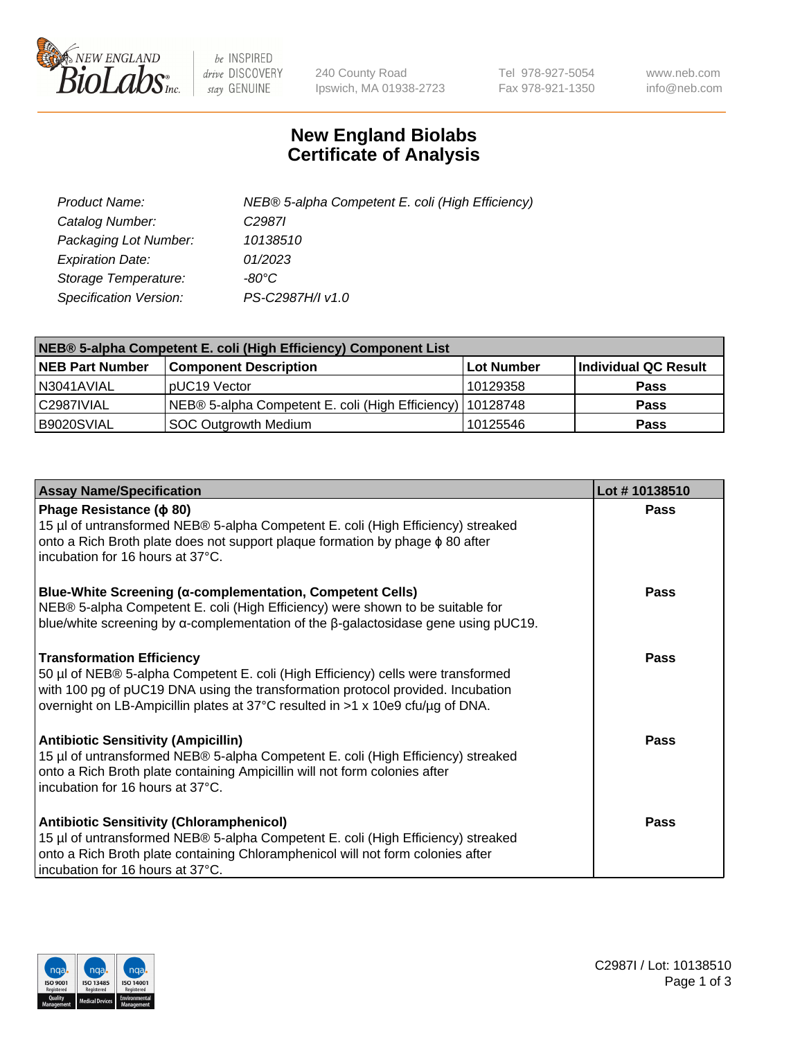

 $be$  INSPIRED drive DISCOVERY stay GENUINE

240 County Road Ipswich, MA 01938-2723 Tel 978-927-5054 Fax 978-921-1350 www.neb.com info@neb.com

## **New England Biolabs Certificate of Analysis**

| Product Name:           | NEB® 5-alpha Competent E. coli (High Efficiency) |
|-------------------------|--------------------------------------------------|
| Catalog Number:         | C <sub>2987</sub>                                |
| Packaging Lot Number:   | 10138510                                         |
| <b>Expiration Date:</b> | 01/2023                                          |
| Storage Temperature:    | -80°C                                            |
| Specification Version:  | PS-C2987H/I v1.0                                 |

| NEB® 5-alpha Competent E. coli (High Efficiency) Component List |                                                             |                   |                      |  |
|-----------------------------------------------------------------|-------------------------------------------------------------|-------------------|----------------------|--|
| <b>NEB Part Number</b>                                          | <b>Component Description</b>                                | <b>Lot Number</b> | Individual QC Result |  |
| N3041AVIAL                                                      | pUC19 Vector                                                | 10129358          | <b>Pass</b>          |  |
| C2987IVIAL                                                      | NEB® 5-alpha Competent E. coli (High Efficiency)   10128748 |                   | <b>Pass</b>          |  |
| B9020SVIAL                                                      | <b>SOC Outgrowth Medium</b>                                 | 10125546          | <b>Pass</b>          |  |

| <b>Assay Name/Specification</b>                                                                                                                                                                                                                                                           | Lot #10138510 |
|-------------------------------------------------------------------------------------------------------------------------------------------------------------------------------------------------------------------------------------------------------------------------------------------|---------------|
| Phage Resistance ( $\phi$ 80)<br>15 µl of untransformed NEB® 5-alpha Competent E. coli (High Efficiency) streaked<br>onto a Rich Broth plate does not support plaque formation by phage $\phi$ 80 after<br>incubation for 16 hours at 37°C.                                               | Pass          |
| <b>Blue-White Screening (α-complementation, Competent Cells)</b><br>NEB® 5-alpha Competent E. coli (High Efficiency) were shown to be suitable for<br>blue/white screening by $\alpha$ -complementation of the $\beta$ -galactosidase gene using pUC19.                                   | Pass          |
| <b>Transformation Efficiency</b><br>50 µl of NEB® 5-alpha Competent E. coli (High Efficiency) cells were transformed<br>with 100 pg of pUC19 DNA using the transformation protocol provided. Incubation<br>overnight on LB-Ampicillin plates at 37°C resulted in >1 x 10e9 cfu/µg of DNA. | <b>Pass</b>   |
| <b>Antibiotic Sensitivity (Ampicillin)</b><br>15 µl of untransformed NEB® 5-alpha Competent E. coli (High Efficiency) streaked<br>onto a Rich Broth plate containing Ampicillin will not form colonies after<br>incubation for 16 hours at 37°C.                                          | Pass          |
| Antibiotic Sensitivity (Chloramphenicol)<br>15 µl of untransformed NEB® 5-alpha Competent E. coli (High Efficiency) streaked<br>onto a Rich Broth plate containing Chloramphenicol will not form colonies after<br>incubation for 16 hours at 37°C.                                       | <b>Pass</b>   |

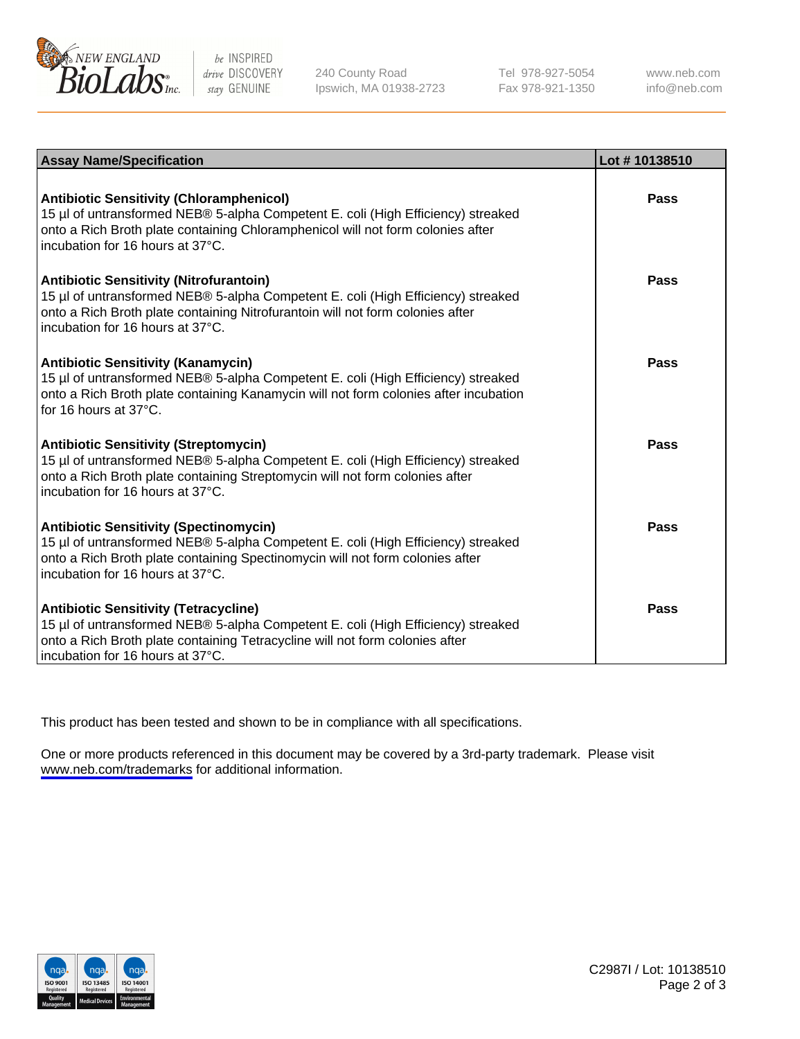

be INSPIRED drive DISCOVERY stay GENUINE

240 County Road Ipswich, MA 01938-2723 Tel 978-927-5054 Fax 978-921-1350

www.neb.com info@neb.com

| <b>Assay Name/Specification</b>                                                                                                                                                                                                                            | Lot #10138510 |
|------------------------------------------------------------------------------------------------------------------------------------------------------------------------------------------------------------------------------------------------------------|---------------|
| <b>Antibiotic Sensitivity (Chloramphenicol)</b><br>15 µl of untransformed NEB® 5-alpha Competent E. coli (High Efficiency) streaked<br>onto a Rich Broth plate containing Chloramphenicol will not form colonies after<br>incubation for 16 hours at 37°C. | Pass          |
| <b>Antibiotic Sensitivity (Nitrofurantoin)</b><br>15 µl of untransformed NEB® 5-alpha Competent E. coli (High Efficiency) streaked<br>onto a Rich Broth plate containing Nitrofurantoin will not form colonies after<br>incubation for 16 hours at 37°C.   | Pass          |
| <b>Antibiotic Sensitivity (Kanamycin)</b><br>15 µl of untransformed NEB® 5-alpha Competent E. coli (High Efficiency) streaked<br>onto a Rich Broth plate containing Kanamycin will not form colonies after incubation<br>for 16 hours at 37°C.             | Pass          |
| <b>Antibiotic Sensitivity (Streptomycin)</b><br>15 µl of untransformed NEB® 5-alpha Competent E. coli (High Efficiency) streaked<br>onto a Rich Broth plate containing Streptomycin will not form colonies after<br>incubation for 16 hours at 37°C.       | Pass          |
| <b>Antibiotic Sensitivity (Spectinomycin)</b><br>15 µl of untransformed NEB® 5-alpha Competent E. coli (High Efficiency) streaked<br>onto a Rich Broth plate containing Spectinomycin will not form colonies after<br>incubation for 16 hours at 37°C.     | Pass          |
| <b>Antibiotic Sensitivity (Tetracycline)</b><br>15 µl of untransformed NEB® 5-alpha Competent E. coli (High Efficiency) streaked<br>onto a Rich Broth plate containing Tetracycline will not form colonies after<br>incubation for 16 hours at 37°C.       | <b>Pass</b>   |

This product has been tested and shown to be in compliance with all specifications.

One or more products referenced in this document may be covered by a 3rd-party trademark. Please visit <www.neb.com/trademarks>for additional information.